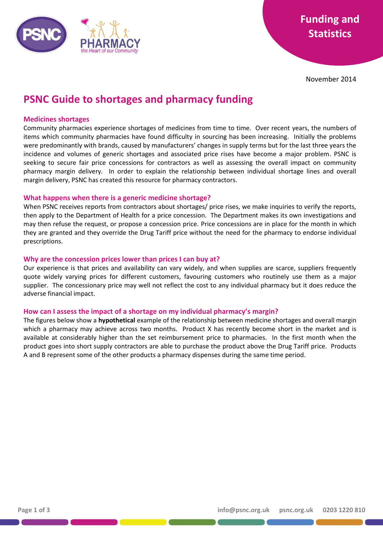

November 2014

# **PSNC Guide to shortages and pharmacy funding**

## **Medicines shortages**

Community pharmacies experience shortages of medicines from time to time. Over recent years, the numbers of items which community pharmacies have found difficulty in sourcing has been increasing. Initially the problems were predominantly with brands, caused by manufacturers' changes in supply terms but for the last three years the incidence and volumes of generic shortages and associated price rises have become a major problem. PSNC is seeking to secure fair price concessions for contractors as well as assessing the overall impact on community pharmacy margin delivery. In order to explain the relationship between individual shortage lines and overall margin delivery, PSNC has created this resource for pharmacy contractors.

### **What happens when there is a generic medicine shortage?**

When PSNC receives reports from contractors about shortages/ price rises, we make inquiries to verify the reports, then apply to the Department of Health for a price concession. The Department makes its own investigations and may then refuse the request, or propose a concession price. Price concessions are in place for the month in which they are granted and they override the Drug Tariff price without the need for the pharmacy to endorse individual prescriptions.

### **Why are the concession prices lower than prices I can buy at?**

Our experience is that prices and availability can vary widely, and when supplies are scarce, suppliers frequently quote widely varying prices for different customers, favouring customers who routinely use them as a major supplier. The concessionary price may well not reflect the cost to any individual pharmacy but it does reduce the adverse financial impact.

## **How can I assess the impact of a shortage on my individual pharmacy's margin?**

The figures below show a **hypothetical** example of the relationship between medicine shortages and overall margin which a pharmacy may achieve across two months. Product X has recently become short in the market and is available at considerably higher than the set reimbursement price to pharmacies. In the first month when the product goes into short supply contractors are able to purchase the product above the Drug Tariff price. Products A and B represent some of the other products a pharmacy dispenses during the same time period.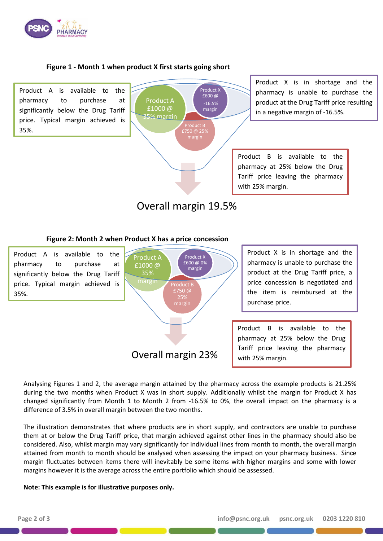

# **Figure 1 - Month 1 when product X first starts going short**

Product A is available to the pharmacy to purchase at significantly below the Drug Tariff price. Typical margin achieved is 35%.

Product B Product A £1000 @ 35% margin Product **X** £600 @ -16.5% margin

Product X is in shortage and the pharmacy is unable to purchase the product at the Drug Tariff price resulting in a negative margin of -16.5%.

Product B is available to the pharmacy at 25% below the Drug Tariff price leaving the pharmacy with 25% margin.

# Overall margin 19.5%

# **Figure 2: Month 2 when Product X has a price concession**



Analysing Figures 1 and 2, the average margin attained by the pharmacy across the example products is 21.25% during the two months when Product X was in short supply. Additionally whilst the margin for Product X has changed significantly from Month 1 to Month 2 from -16.5% to 0%, the overall impact on the pharmacy is a difference of 3.5% in overall margin between the two months.

The illustration demonstrates that where products are in short supply, and contractors are unable to purchase them at or below the Drug Tariff price, that margin achieved against other lines in the pharmacy should also be considered. Also, whilst margin may vary significantly for individual lines from month to month, the overall margin attained from month to month should be analysed when assessing the impact on your pharmacy business. Since margin fluctuates between items there will inevitably be some items with higher margins and some with lower margins however it is the average across the entire portfolio which should be assessed.

#### **Note: This example is for illustrative purposes only.**